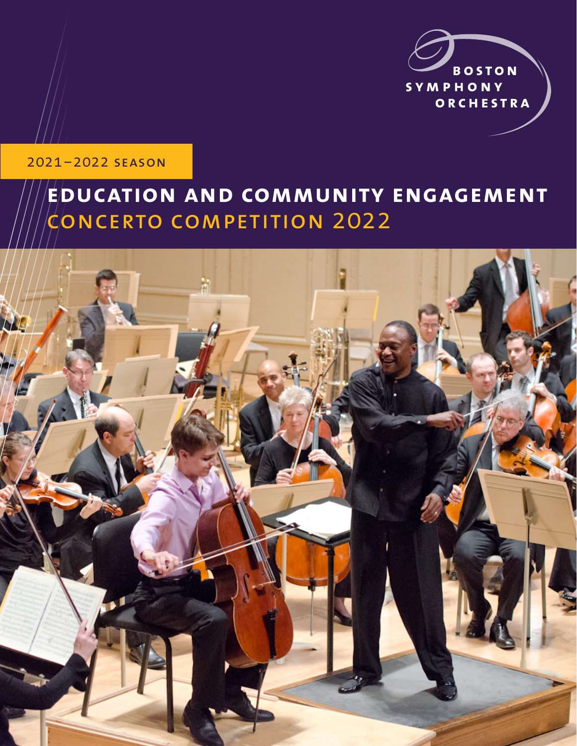

### 2021–2022 season

# **education and community engagement**  $\zeta$ ONCERTO COMPETITION 2022